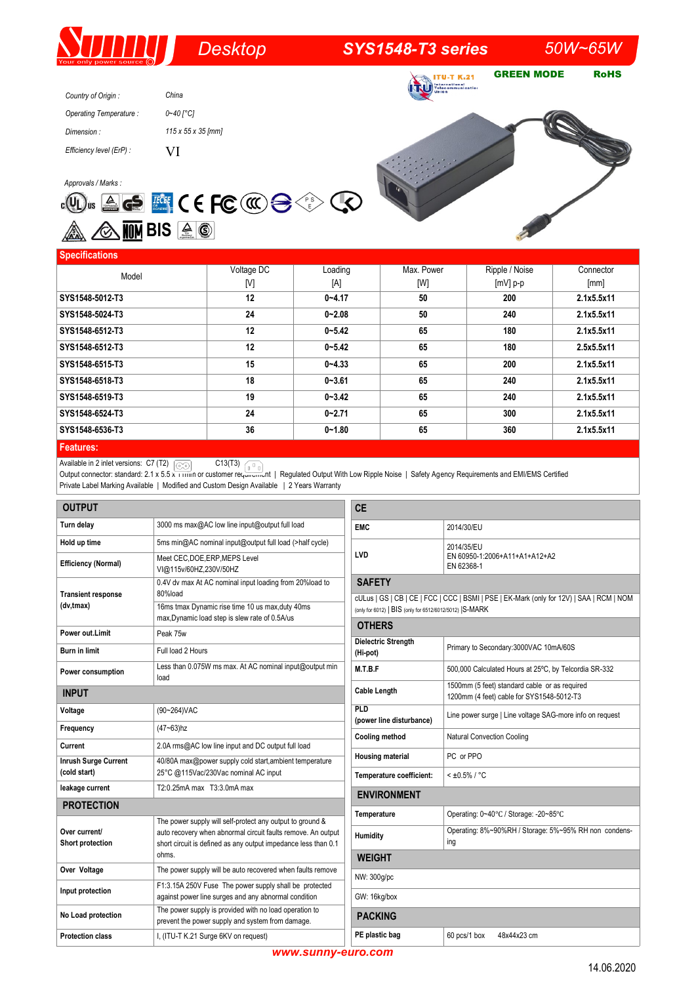# *Desktop SYS1548-T3 series 50W~65W*

**ITU-T K.21 TRU** Follocommunication

GREEN MODE RoHS

| Country of Origin:       | China                          |
|--------------------------|--------------------------------|
| Operating Temperature:   | 0~40 [°C]                      |
| Dimension:               | $115 \times 55 \times 35$ [mm] |
| Efficiency level (ErP) : | VI                             |

**Approvals / Marks :<br><b>c**(U) us  $\triangleq$   $\Longleftrightarrow$   $\triangleq$   $\triangleq$   $\triangleq$   $\triangleq$   $\triangleq$   $\triangleq$   $\triangleq$   $\triangleq$   $\triangleq$   $\triangleq$   $\triangleq$   $\triangleq$   $\triangleq$   $\triangleq$   $\triangleq$   $\triangleq$   $\triangleq$   $\triangleq$   $\triangleq$   $\triangleq$   $\triangleq$   $\triangleq$   $\triangleq$   $\triangleq$   $\triangleq$   $\triangleq$   $\triangleq$   $\triangleq$   $\triangleq$   $\triangleq$ **A** G <mark>MM</mark> BIS  $4$  G



# **Specifications**

| $\sim$           |            |            |            |                |            |
|------------------|------------|------------|------------|----------------|------------|
| Model            | Voltage DC | Loading    | Max. Power | Ripple / Noise | Connector  |
|                  | [V]        | [A]        | [W]        | $[mV]$ p-p     | [mm]       |
| SYS1548-5012-T3  | 12         | $0 - 4.17$ | 50         | 200            | 2.1x5.5x11 |
| SYS1548-5024-T3  | 24         | $0 - 2.08$ | 50         | 240            | 2.1x5.5x11 |
| SYS1548-6512-T3  | 12         | $0 - 5.42$ | 65         | 180            | 2.1x5.5x11 |
| SYS1548-6512-T3  | 12         | $0 - 5.42$ | 65         | 180            | 2.5x5.5x11 |
| SYS1548-6515-T3  | 15         | $0 - 4.33$ | 65         | 200            | 2.1x5.5x11 |
| SYS1548-6518-T3  | 18         | $0 - 3.61$ | 65         | 240            | 2.1x5.5x11 |
| SYS1548-6519-T3  | 19         | $0 - 3.42$ | 65         | 240            | 2.1x5.5x11 |
| SYS1548-6524-T3  | 24         | $0 - 2.71$ | 65         | 300            | 2.1x5.5x11 |
| SYS1548-6536-T3  | 36         | $0 - 1.80$ | 65         | 360            | 2.1x5.5x11 |
| <b>Features:</b> |            |            |            |                |            |

Available in 2 inlet versions:  $C7(T2)$   $\sim$   $C13(T3)$ 

Output connector: standard: 2.1 x 5.5 x 11mm or customer requirement | Regulated Output With Low Ripple Noise | Safety Agency Requirements and EMI/EMS Certified Private Label Marking Available | Modified and Custom Design Available | 2 Years Warranty

| <b>OUTPUT</b>                               |                                                                                                                                | <b>CE</b>                                                                                                         |                                                              |  |  |
|---------------------------------------------|--------------------------------------------------------------------------------------------------------------------------------|-------------------------------------------------------------------------------------------------------------------|--------------------------------------------------------------|--|--|
| Turn delay                                  | 3000 ms max@AC low line input@output full load                                                                                 | <b>EMC</b>                                                                                                        | 2014/30/EU                                                   |  |  |
| Hold up time                                | 5ms min@AC nominal input@output full load (>half cycle)                                                                        |                                                                                                                   | 2014/35/EU                                                   |  |  |
| <b>Efficiency (Normal)</b>                  | Meet CEC, DOE, ERP, MEPS Level<br>VI@115v/60HZ,230V/50HZ                                                                       | LVD                                                                                                               | EN 60950-1:2006+A11+A1+A12+A2<br>EN 62368-1                  |  |  |
| <b>Transient response</b>                   | 0.4V dv max At AC nominal input loading from 20%load to<br>80%load                                                             | <b>SAFETY</b><br>cULus   GS   CB   CE   FCC   CCC   BSMI   PSE   EK-Mark (only for 12V)   SAA   RCM   NOM         |                                                              |  |  |
| (dv,tmax)                                   | 16ms tmax Dynamic rise time 10 us max, duty 40ms<br>max, Dynamic load step is slew rate of 0.5A/us                             | (only for 6012)   BIS (only for 6512/6012/5012)   S-MARK                                                          |                                                              |  |  |
| Power out.Limit                             | Peak 75w                                                                                                                       | <b>OTHERS</b>                                                                                                     |                                                              |  |  |
| <b>Burn in limit</b>                        | Full load 2 Hours                                                                                                              | <b>Dielectric Strength</b><br>(Hi-pot)                                                                            | Primary to Secondary: 3000VAC 10mA/60S                       |  |  |
| Power consumption                           | Less than 0.075W ms max. At AC nominal input@output min<br>load                                                                | M.T.B.F                                                                                                           | 500,000 Calculated Hours at 25°C, by Telcordia SR-332        |  |  |
| <b>INPUT</b>                                |                                                                                                                                | 1500mm (5 feet) standard cable or as required<br><b>Cable Length</b><br>1200mm (4 feet) cable for SYS1548-5012-T3 |                                                              |  |  |
| Voltage                                     | (90~264) VAC                                                                                                                   | PLD<br>(power line disturbance)                                                                                   | Line power surge   Line voltage SAG-more info on request     |  |  |
| Frequency                                   | $(47 - 63)$ hz                                                                                                                 | <b>Cooling method</b>                                                                                             | <b>Natural Convection Cooling</b>                            |  |  |
| Current                                     | 2.0A rms@AC low line input and DC output full load                                                                             |                                                                                                                   | PC or PPO                                                    |  |  |
| <b>Inrush Surge Current</b><br>(cold start) | 40/80A max@power supply cold start, ambient temperature<br>25°C @115Vac/230Vac nominal AC input                                | <b>Housing material</b><br>Temperature coefficient:                                                               | $< 10.5\% / °C$                                              |  |  |
| leakage current                             | T2:0.25mA max T3:3.0mA max                                                                                                     |                                                                                                                   |                                                              |  |  |
| <b>ENVIRONMENT</b><br><b>PROTECTION</b>     |                                                                                                                                |                                                                                                                   |                                                              |  |  |
|                                             | The power supply will self-protect any output to ground &                                                                      | Temperature                                                                                                       | Operating: 0~40°C / Storage: -20~85°C                        |  |  |
| Over current/<br>Short protection           | auto recovery when abnormal circuit faults remove. An output<br>short circuit is defined as any output impedance less than 0.1 | Humidity                                                                                                          | Operating: 8%~90%RH / Storage: 5%~95% RH non condens-<br>ing |  |  |
| ohms.                                       |                                                                                                                                | <b>WEIGHT</b>                                                                                                     |                                                              |  |  |
| Over Voltage                                | The power supply will be auto recovered when faults remove                                                                     | NW: 300g/pc                                                                                                       |                                                              |  |  |
| Input protection                            | F1:3.15A 250V Fuse The power supply shall be protected<br>against power line surges and any abnormal condition                 | GW: 16kg/box                                                                                                      |                                                              |  |  |
| No Load protection                          | The power supply is provided with no load operation to<br>prevent the power supply and system from damage.                     | <b>PACKING</b>                                                                                                    |                                                              |  |  |
| <b>Protection class</b>                     | I, (ITU-T K.21 Surge 6KV on request)                                                                                           | PE plastic bag                                                                                                    | 60 pcs/1 box<br>48x44x23 cm                                  |  |  |

*www.sunny-euro.com*